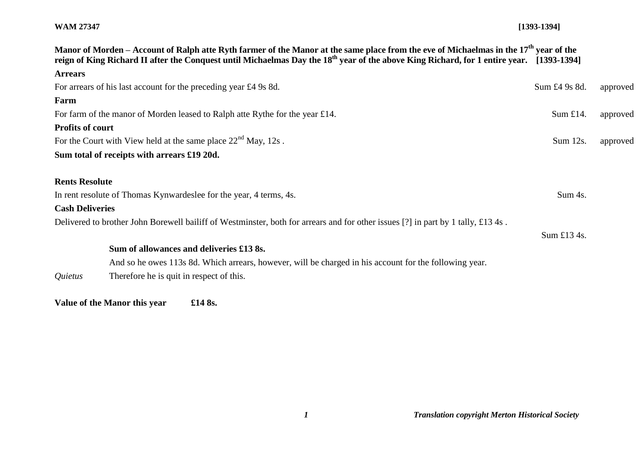## **WAM 27347 [1393-1394]**

| Manor of Morden – Account of Ralph atte Ryth farmer of the Manor at the same place from the eve of Michaelmas in the 17 <sup>th</sup> vear of the<br>reign of King Richard II after the Conquest until Michaelmas Day the 18 <sup>th</sup> year of the above King Richard, for 1 entire year. [1393-1394] |               |          |
|-----------------------------------------------------------------------------------------------------------------------------------------------------------------------------------------------------------------------------------------------------------------------------------------------------------|---------------|----------|
| <b>Arrears</b>                                                                                                                                                                                                                                                                                            |               |          |
| For arrears of his last account for the preceding year £4 9s 8d.                                                                                                                                                                                                                                          | Sum £4 9s 8d. | approved |
| Farm                                                                                                                                                                                                                                                                                                      |               |          |
| For farm of the manor of Morden leased to Ralph atte Rythe for the year £14.                                                                                                                                                                                                                              | Sum £14.      | approved |
| <b>Profits of court</b>                                                                                                                                                                                                                                                                                   |               |          |
| For the Court with View held at the same place $22nd$ May, 12s.                                                                                                                                                                                                                                           | Sum 12s.      | approved |
| Sum total of receipts with arrears £19 20d.                                                                                                                                                                                                                                                               |               |          |
|                                                                                                                                                                                                                                                                                                           |               |          |
| <b>Rents Resolute</b>                                                                                                                                                                                                                                                                                     |               |          |
| In rent resolute of Thomas Kynwardeslee for the year, 4 terms, 4s.<br>Sum 4s.                                                                                                                                                                                                                             |               |          |
| <b>Cash Deliveries</b>                                                                                                                                                                                                                                                                                    |               |          |
| Delivered to brother John Borewell bailiff of Westminster, both for arrears and for other issues [?] in part by 1 tally, £13 4s.                                                                                                                                                                          |               |          |
|                                                                                                                                                                                                                                                                                                           | Sum £13 4s.   |          |
| Sum of allowances and deliveries £13 8s.                                                                                                                                                                                                                                                                  |               |          |
| And so he owes 113s 8d. Which arrears, however, will be charged in his account for the following year.                                                                                                                                                                                                    |               |          |
| Therefore he is quit in respect of this.<br>Quietus                                                                                                                                                                                                                                                       |               |          |

**Value of the Manor this year £14 8s.**